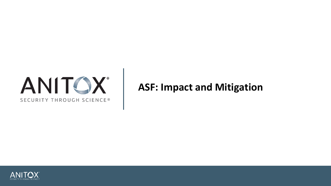

# **ASF: Impact and Mitigation**

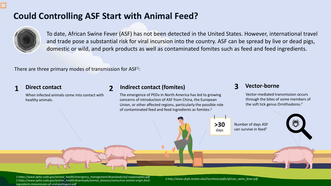# **Could Controlling ASF Start with Animal Feed?**



Ę

To date, African Swine Fever (ASF) has not been detected in the United States. However, international travel and trade pose a substantial risk for viral incursion into the country. ASF can be spread by live or dead pigs, domestic or wild, and pork products as well as contaminated fomites such as feed and feed ingredients.

There are three primary modes of transmission for  $ASF<sup>1</sup>$ :

## **Direct contact**

When infected animals come into contact with healthy animals.

## **1 2 Indirect contact (fomites)**

The emergence of PEDv in North America has led to growing concerns of introduction of ASF from China, the European Union, or other affected regions, particularly the possible role of contaminated feed and feed ingredients as fomites.2

## **3 Vector-borne**

Vector-mediated transmission occurs through the bites of some members of the soft tick genus Ornithodoros.3



*1 https://www.aphis.usda.gov/animal\_health/emergency\_management/downloads/asf-responseplan.pdf 2 https://www.aphis.usda.gov/animal\_health/downloads/animal\_diseases/swine/non-animal-origin-feedingredients-transmission-of-viral-pathogens.pdf*

*3 http://www.cfsph.iastate.edu/Factsheets/pdfs/african\_swine\_fever.pdf*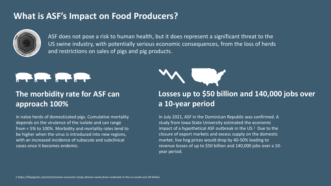# **What is ASF's Impact on Food Producers?**



ASF does not pose a risk to human health, but it does represent a significant threat to the US swine industry, with potentially serious economic consequences, from the loss of herds and restrictions on sales of pigs and pig products.



## **The morbidity rate for ASF can approach 100%**

in naïve herds of domesticated pigs. Cumulative mortality depends on the virulence of the isolate and can range from < 5% to 100%. Morbidity and mortality rates tend to be higher when the virus is introduced into new regions, with an increased incidence of subacute and subclinical cases once it becomes endemic.



## **Losses up to \$50 billion and 140,000 jobs over a 10-year period**

In July 2021, ASF in the Dominican Republic was confirmed. A study from Iowa State University estimated the economic impact of a hypothetical ASF outbreak in the  $US<sup>1</sup>$  Due to the closure of export markets and excess supply on the domestic market, live hog prices would drop by 40-50% leading to revenue losses of up to \$50 billion and 140,000 jobs over a 10 year period.